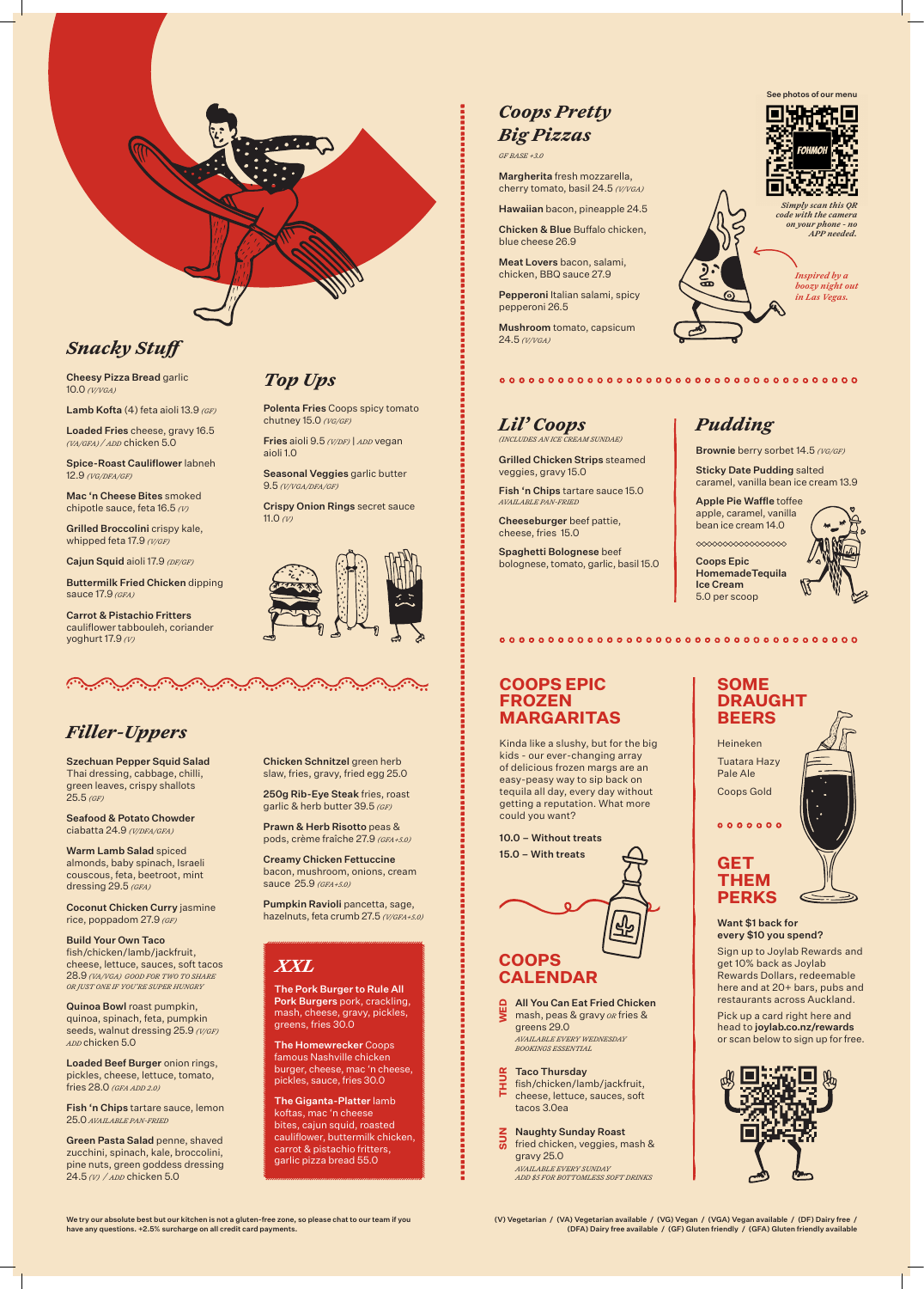We try our absolute best but our kitchen is not a gluten-free zone, so please chat to our team if you have any questions. +2.5% surcharge on all credit card payments.

(V) Vegetarian / (VA) Vegetarian available / (VG) Vegan / (VGA) Vegan available / (DF) Dairy free / (DFA) Dairy free available / (GF) Gluten friendly / (GFA) Gluten friendly available

# *Filler-Uppers*

Szechuan Pepper Squid Salad Thai dressing, cabbage, chilli, green leaves, crispy shallots 25.5 *(GF)* 

Seafood & Potato Chowder ciabatta 24.9 *(V/DFA/GFA)* 

Warm Lamb Salad spiced almonds, baby spinach, Israeli couscous, feta, beetroot, mint dressing 29.5 *(GFA)*

Coconut Chicken Curry jasmine rice, poppadom 27.9 *(GF)* 

Build Your Own Taco fish/chicken/lamb/jackfruit,

cheese, lettuce, sauces, soft tacos 28.9 *(VA/VGA) GOOD FOR TWO TO SHARE OR JUST ONE IF YOU'RE SUPER HUNGRY*

Quinoa Bowl roast pumpkin, quinoa, spinach, feta, pumpkin seeds, walnut dressing 25.9 *(V/GF) ADD* chicken 5.0

Loaded Beef Burger onion rings, pickles, cheese, lettuce, tomato, fries 28.0 *(GFA ADD 2.0)* 

Fish 'n Chips tartare sauce, lemon 25.0 *AVAILABLE PAN-FRIED*

Green Pasta Salad penne, shaved zucchini, spinach, kale, broccolini, pine nuts, green goddess dressing 24.5 *(V) / ADD* chicken 5.0

Chicken Schnitzel green herb slaw, fries, gravy, fried egg 25.0 Pepperoni Italian salami, spicy pepperoni 26.5

250g Rib-Eye Steak fries, roast garlic & herb butter 39.5 *(GF)* 

Prawn & Herb Risotto peas &

pods, crème fraîche 27.9 *(GFA+5.0)* 

Creamy Chicken Fettuccine bacon, mushroom, onions, cream sauce 25.9 *(GFA+5.0)* 

Pumpkin Ravioli pancetta, sage,

hazelnuts, feta crumb 27.5 *(V/GFA+5.0)*

# *Snacky Stuff*

Cheesy Pizza Bread garlic 10.0 *(V/VGA)* 

Lamb Kofta (4) feta aioli 13.9 *(GF)* 

Loaded Fries cheese, gravy 16.5 *(VA/GFA) / ADD* chicken 5.0

Spice-Roast Cauliflower labneh 12.9 *(VG/DFA/GF)* 

Mac 'n Cheese Bites smoked chipotle sauce, feta 16.5 *(V)* 

Grilled Broccolini crispy kale, whipped feta 17.9 *(V/GF)* 

Cajun Squid aioli 17.9 *(DF/GF)* 

Buttermilk Fried Chicken dipping sauce 17.9 *(GFA)* 

Carrot & Pistachio Fritters cauliflower tabbouleh, coriander yoghurt 17.9 *(V)*

## *Top Ups*

**Z** Naughty Sunday Roast<br>**S** fried chicken, veggies, m fried chicken, veggies, mash & gravy 25.0 *AVAILABLE EVERY SUNDAY ADD \$5 FOR BOTTOMLESS SOFT DRINKS*

Polenta Fries Coops spicy tomato chutney 15.0 *(VG/GF)*

Fries aioli 9.5 *(V/DF)* | *ADD* vegan aioli 1.0

Seasonal Veggies garlic butter 9.5 *(V/VGA/DFA/GF)* 

Crispy Onion Rings secret sauce 11.0 *(V)*



Spaghetti Bolognese beef bolognese, tomato, garlic, basil 15.0 Coops Epic

# *Coops Pretty Big Pizzas*

*GF BASE +3.0*

Margherita fresh mozzarella, cherry tomato, basil 24.5 *(V/VGA)* 

Hawaiian bacon, pineapple 24.5

Chicken & Blue Buffalo chicken, blue cheese 26.9

Meat Lovers bacon, salami, chicken, BBQ sauce 27.9

Mushroom tomato, capsicum 24.5 *(V/VGA)* 

*Inspired by a boozy night out in Las Vegas.*

*Simply scan this QR code with the camera on your phone - no APP needed.*



See photos of our menu

Heineken

Pale Ale

## **SOME DRAUGHT BEERS**

#### Want \$1 back for every \$10 you spend?

Sign up to Joylab Rewards and get 10% back as Joylab Rewards Dollars, redeemable here and at 20+ bars, pubs and restaurants across Auckland.



Pick up a card right here and head to joylab.co.nz/rewards or scan below to sign up for free.



**GET** 

**PERKS**

## **COOPS EPIC FROZEN MARGARITAS**

Kinda like a slushy, but for the big kids - our ever-changing array of delicious frozen margs are an easy-peasy way to sip back on tequila all day, every day without getting a reputation. What more could you want?

10.0 – Without treats 15.0 – With treats



The Pork Burger to Rule All Pork Burgers pork, crackling, mash, cheese, gravy, pickles, greens, fries 30.0

The Homewrecker Coops famous Nashville chicken burger, cheese, mac 'n cheese, pickles, sauce, fries 30.0

The Giganta-Platter lamb koftas, mac 'n cheese bites, cajun squid, roasted cauliflower, buttermilk chicken, carrot & pistachio fritters, garlic pizza bread 55.0

*XXL*

#### All You Can Eat Fried Chicken

mash, peas & gravy *OR* fries & greens 29.0 **WED**

*AVAILABLE EVERY WEDNESDAY BOOKINGS ESSENTIAL* 

## **COOPS CALENDAR**

Taco Thursday fish/chicken/lamb/jackfruit, cheese, lettuce, sauces, soft tacos 3.0ea **THUR**

# *Pudding*

 ${\color{red}\mathtt{0.0 \cdot 0.0 \cdot 0.0 \cdot 0.0 \cdot 0.0 \cdot 0.0 \cdot 0.0 \cdot 0.0 \cdot 0.0 \cdot 0.0 \cdot 0.0 \cdot 0.0 \cdot 0.0}}$ 

 ${\color{red}\mathtt{0.0 \cdot 0.0 \cdot 0.0 \cdot 0.0 \cdot 0.0 \cdot 0.0 \cdot 0.0 \cdot 0.0 \cdot 0.0 \cdot 0.0 \cdot 0.0 \cdot 0.0 \cdot 0.0}}$ 

Brownie berry sorbet 14.5 *(VG/GF)*

Sticky Date Pudding salted caramel, vanilla bean ice cream 13.9

Apple Pie Waffle toffee apple, caramel, vanilla bean ice cream 14.0

 $\begin{picture}(180,10) \put(0,0){\vector(1,0){10}} \put(0,0){\vector(1,0){10}} \put(0,0){\vector(1,0){10}} \put(0,0){\vector(1,0){10}} \put(0,0){\vector(1,0){10}} \put(0,0){\vector(1,0){10}} \put(0,0){\vector(1,0){10}} \put(0,0){\vector(1,0){10}} \put(0,0){\vector(1,0){10}} \put(0,0){\vector(1,0){10}} \put(0,0){\vector(1,0){10}} \put(0,0){\vector(1,0){10}} \put(0$ 

## *Lil' Coops (INCLUDES AN ICE CREAM SUNDAE)*

Grilled Chicken Strips steamed veggies, gravy 15.0

Fish 'n Chips tartare sauce 15.0 *AVAILABLE PAN-FRIED* 

Cheeseburger beef pattie, cheese, fries 15.0

> HomemadeTequila Ice Cream 5.0 per scoop